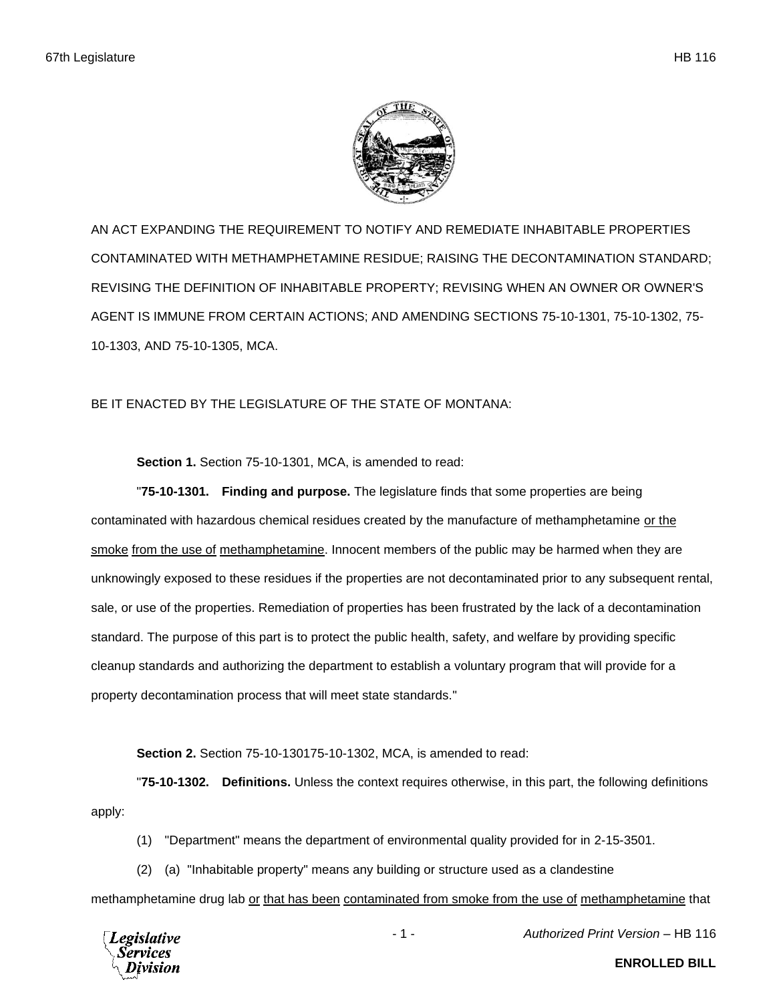

AN ACT EXPANDING THE REQUIREMENT TO NOTIFY AND REMEDIATE INHABITABLE PROPERTIES CONTAMINATED WITH METHAMPHETAMINE RESIDUE; RAISING THE DECONTAMINATION STANDARD; REVISING THE DEFINITION OF INHABITABLE PROPERTY; REVISING WHEN AN OWNER OR OWNER'S AGENT IS IMMUNE FROM CERTAIN ACTIONS; AND AMENDING SECTIONS 75-10-1301, 75-10-1302, 75- 10-1303, AND 75-10-1305, MCA.

## BE IT ENACTED BY THE LEGISLATURE OF THE STATE OF MONTANA:

**Section 1.** Section 75-10-1301, MCA, is amended to read:

"**75-10-1301. Finding and purpose.** The legislature finds that some properties are being contaminated with hazardous chemical residues created by the manufacture of methamphetamine or the smoke from the use of methamphetamine. Innocent members of the public may be harmed when they are unknowingly exposed to these residues if the properties are not decontaminated prior to any subsequent rental, sale, or use of the properties. Remediation of properties has been frustrated by the lack of a decontamination standard. The purpose of this part is to protect the public health, safety, and welfare by providing specific cleanup standards and authorizing the department to establish a voluntary program that will provide for a property decontamination process that will meet state standards."

**Section 2.** Section 75-10-130175-10-1302, MCA, is amended to read:

"**75-10-1302. Definitions.** Unless the context requires otherwise, in this part, the following definitions apply:

(1) "Department" means the department of environmental quality provided for in 2-15-3501.

(2) (a) "Inhabitable property" means any building or structure used as a clandestine

methamphetamine drug lab or that has been contaminated from smoke from the use of methamphetamine that



- 1 - *Authorized Print Version* – HB 116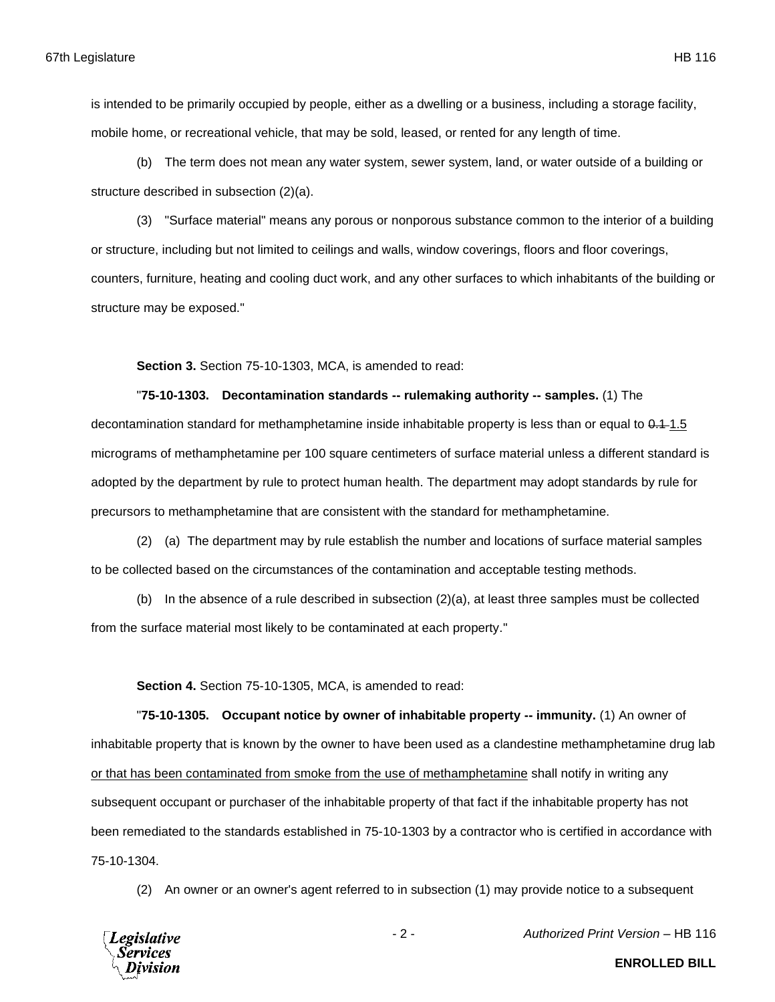is intended to be primarily occupied by people, either as a dwelling or a business, including a storage facility, mobile home, or recreational vehicle, that may be sold, leased, or rented for any length of time.

(b) The term does not mean any water system, sewer system, land, or water outside of a building or structure described in subsection (2)(a).

(3) "Surface material" means any porous or nonporous substance common to the interior of a building or structure, including but not limited to ceilings and walls, window coverings, floors and floor coverings, counters, furniture, heating and cooling duct work, and any other surfaces to which inhabitants of the building or structure may be exposed."

**Section 3.** Section 75-10-1303, MCA, is amended to read:

"**75-10-1303. Decontamination standards -- rulemaking authority -- samples.** (1) The decontamination standard for methamphetamine inside inhabitable property is less than or equal to 0.1–1.5 micrograms of methamphetamine per 100 square centimeters of surface material unless a different standard is adopted by the department by rule to protect human health. The department may adopt standards by rule for precursors to methamphetamine that are consistent with the standard for methamphetamine.

(2) (a) The department may by rule establish the number and locations of surface material samples to be collected based on the circumstances of the contamination and acceptable testing methods.

(b) In the absence of a rule described in subsection (2)(a), at least three samples must be collected from the surface material most likely to be contaminated at each property."

**Section 4.** Section 75-10-1305, MCA, is amended to read:

"**75-10-1305. Occupant notice by owner of inhabitable property -- immunity.** (1) An owner of inhabitable property that is known by the owner to have been used as a clandestine methamphetamine drug lab or that has been contaminated from smoke from the use of methamphetamine shall notify in writing any subsequent occupant or purchaser of the inhabitable property of that fact if the inhabitable property has not been remediated to the standards established in 75-10-1303 by a contractor who is certified in accordance with 75-10-1304.

(2) An owner or an owner's agent referred to in subsection (1) may provide notice to a subsequent



- 2 - *Authorized Print Version* – HB 116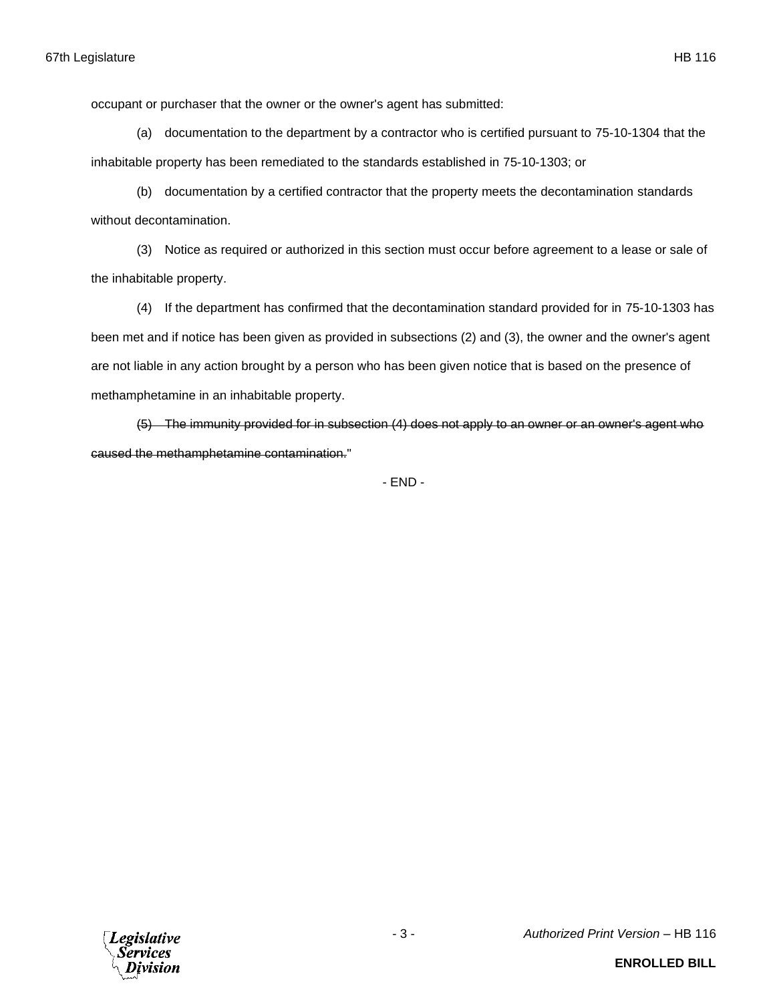occupant or purchaser that the owner or the owner's agent has submitted:

(a) documentation to the department by a contractor who is certified pursuant to 75-10-1304 that the inhabitable property has been remediated to the standards established in 75-10-1303; or

(b) documentation by a certified contractor that the property meets the decontamination standards without decontamination.

(3) Notice as required or authorized in this section must occur before agreement to a lease or sale of the inhabitable property.

(4) If the department has confirmed that the decontamination standard provided for in 75-10-1303 has been met and if notice has been given as provided in subsections (2) and (3), the owner and the owner's agent are not liable in any action brought by a person who has been given notice that is based on the presence of methamphetamine in an inhabitable property.

(5) The immunity provided for in subsection (4) does not apply to an owner or an owner's agent who caused the methamphetamine contamination."

- END -

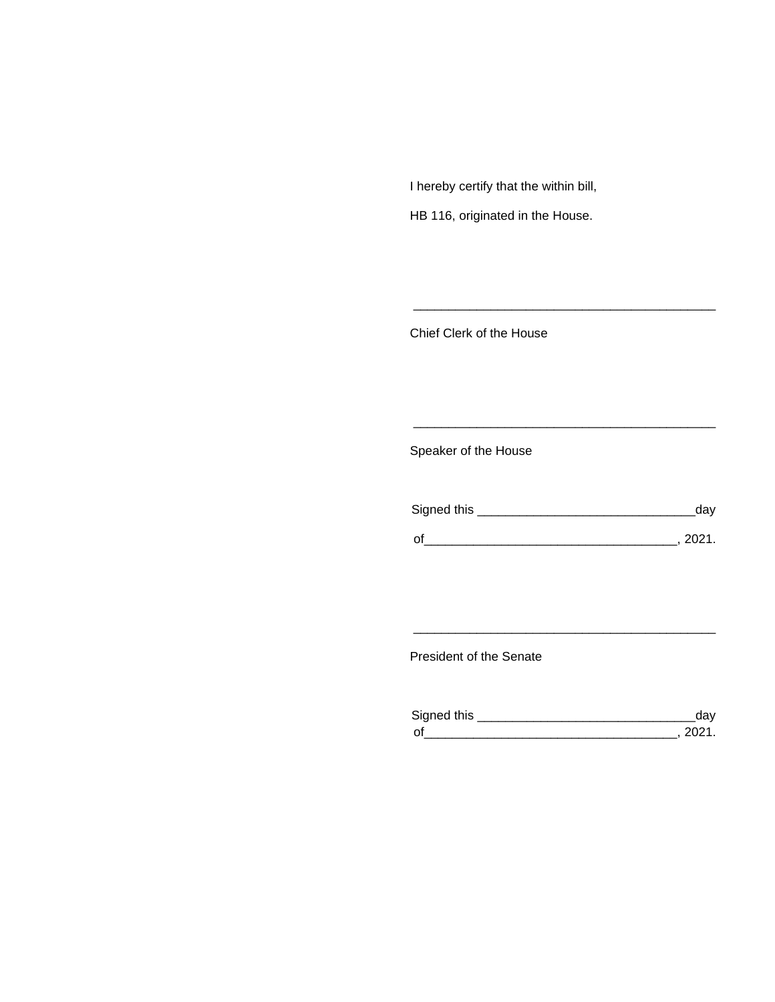I hereby certify that the within bill,

HB 116, originated in the House.

Chief Clerk of the House

Speaker of the House

| Signed this | aav  |
|-------------|------|
| $\Omega$    | ンロウィ |

\_\_\_\_\_\_\_\_\_\_\_\_\_\_\_\_\_\_\_\_\_\_\_\_\_\_\_\_\_\_\_\_\_\_\_\_\_\_\_\_\_\_\_

\_\_\_\_\_\_\_\_\_\_\_\_\_\_\_\_\_\_\_\_\_\_\_\_\_\_\_\_\_\_\_\_\_\_\_\_\_\_\_\_\_\_\_

President of the Senate

| Sianed this |  |
|-------------|--|
| $\Omega$    |  |

\_\_\_\_\_\_\_\_\_\_\_\_\_\_\_\_\_\_\_\_\_\_\_\_\_\_\_\_\_\_\_\_\_\_\_\_\_\_\_\_\_\_\_